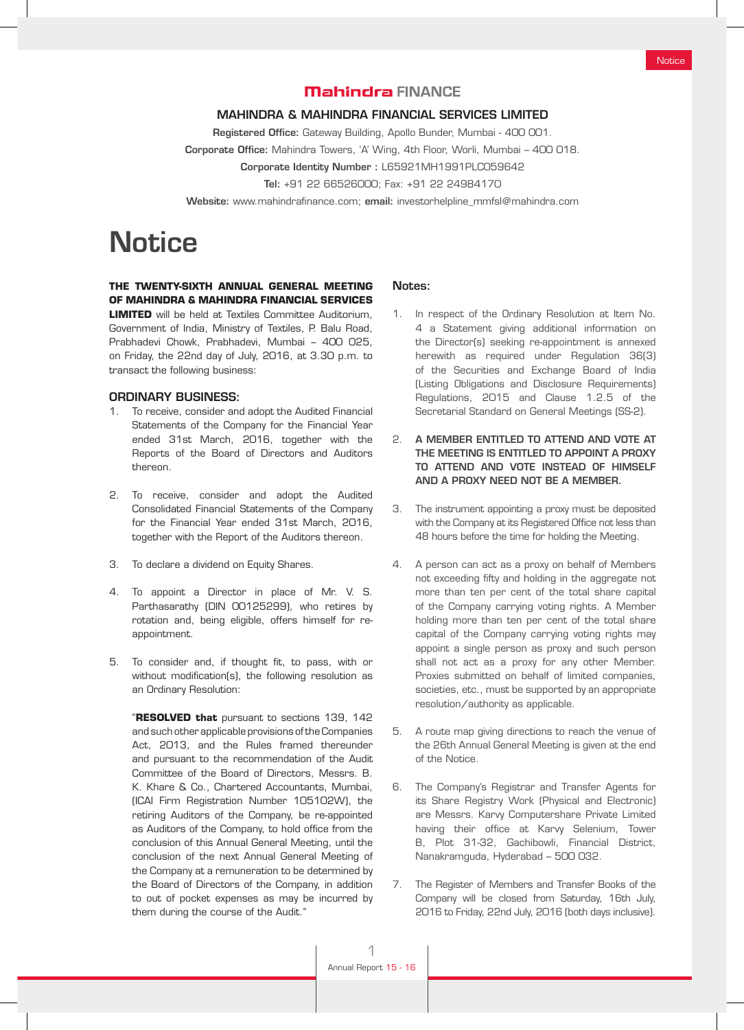# **Mahindra FINANCE**

#### MAHINDRA & MAHINDRA FINANCIAL SERVICES LIMITED

Registered Office: Gateway Building, Apollo Bunder, Mumbai - 400 001. Corporate Office: Mahindra Towers, 'A' Wing, 4th Floor, Worli, Mumbai – 400 018.

Corporate Identity Number : L65921MH1991PLC059642

Tel: +91 22 66526000; Fax: +91 22 24984170

Website: www.mahindrafinance.com; email: investorhelpline\_mmfsl@mahindra.com

# **Notice**

# **THE TWENTY-SIXTH ANNUAL GENERAL MEETING OF MAHINDRA & MAHINDRA FINANCIAL SERVICES**

**LIMITED** will be held at Textiles Committee Auditorium, Government of India, Ministry of Textiles, P. Balu Road, Prabhadevi Chowk, Prabhadevi, Mumbai – 400 025, on Friday, the 22nd day of July, 2016, at 3.30 p.m. to transact the following business:

#### ORDINARY BUSINESS:

- 1. To receive, consider and adopt the Audited Financial Statements of the Company for the Financial Year ended 31st March, 2016, together with the Reports of the Board of Directors and Auditors thereon.
- 2. To receive, consider and adopt the Audited Consolidated Financial Statements of the Company for the Financial Year ended 31st March, 2016, together with the Report of the Auditors thereon.
- 3. To declare a dividend on Equity Shares.
- 4. To appoint a Director in place of Mr. V. S. Parthasarathy (DIN 00125299), who retires by rotation and, being eligible, offers himself for reappointment.
- 5. To consider and, if thought fit, to pass, with or without modification(s), the following resolution as an Ordinary Resolution:

"**RESOLVED that** pursuant to sections 139, 142 and such other applicable provisions of the Companies Act, 2013, and the Rules framed thereunder and pursuant to the recommendation of the Audit Committee of the Board of Directors, Messrs. B. K. Khare & Co., Chartered Accountants, Mumbai, (ICAI Firm Registration Number 105102W), the retiring Auditors of the Company, be re-appointed as Auditors of the Company, to hold office from the conclusion of this Annual General Meeting, until the conclusion of the next Annual General Meeting of the Company at a remuneration to be determined by the Board of Directors of the Company, in addition to out of pocket expenses as may be incurred by them during the course of the Audit."

#### Notes:

- 1. In respect of the Ordinary Resolution at Item No. 4 a Statement giving additional information on the Director(s) seeking re-appointment is annexed herewith as required under Regulation 36(3) of the Securities and Exchange Board of India (Listing Obligations and Disclosure Requirements) Regulations, 2015 and Clause 1.2.5 of the Secretarial Standard on General Meetings (SS-2).
- 2. A MEMBER ENTITLED TO ATTEND AND VOTE AT THE MEETING IS ENTITLED TO APPOINT A PROXY TO ATTEND AND VOTE INSTEAD OF HIMSELF AND A PROXY NEED NOT BE A MEMBER.
- 3. The instrument appointing a proxy must be deposited with the Company at its Registered Office not less than 48 hours before the time for holding the Meeting.
- 4. A person can act as a proxy on behalf of Members not exceeding fifty and holding in the aggregate not more than ten per cent of the total share capital of the Company carrying voting rights. A Member holding more than ten per cent of the total share capital of the Company carrying voting rights may appoint a single person as proxy and such person shall not act as a proxy for any other Member. Proxies submitted on behalf of limited companies, societies, etc., must be supported by an appropriate resolution/authority as applicable.
- 5. A route map giving directions to reach the venue of the 26th Annual General Meeting is given at the end of the Notice.
- 6. The Company's Registrar and Transfer Agents for its Share Registry Work (Physical and Electronic) are Messrs. Karvy Computershare Private Limited having their office at Karvy Selenium, Tower B, Plot 31-32, Gachibowli, Financial District, Nanakramguda, Hyderabad – 500 032.
- 7. The Register of Members and Transfer Books of the Company will be closed from Saturday, 16th July, 2016 to Friday, 22nd July, 2016 (both days inclusive).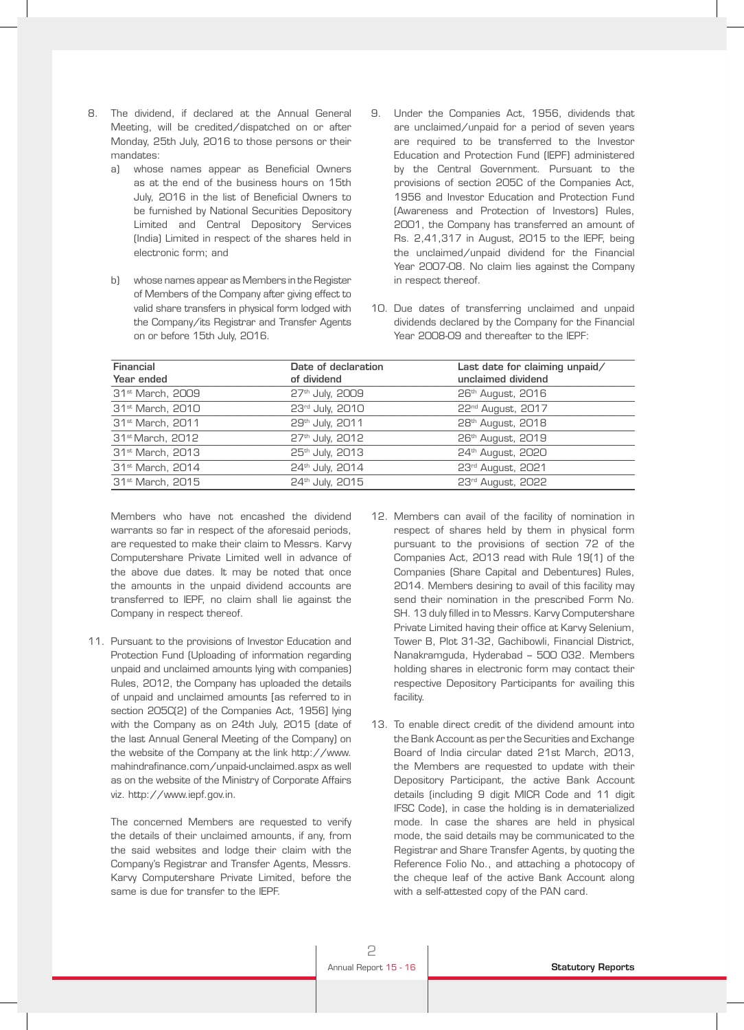- 8. The dividend, if declared at the Annual General Meeting, will be credited/dispatched on or after Monday, 25th July, 2016 to those persons or their mandates:
	- a) whose names appear as Beneficial Owners as at the end of the business hours on 15th July, 2016 in the list of Beneficial Owners to be furnished by National Securities Depository Limited and Central Depository Services (India) Limited in respect of the shares held in electronic form; and
	- b) whose names appear as Members in the Register of Members of the Company after giving effect to valid share transfers in physical form lodged with the Company/its Registrar and Transfer Agents on or before 15th July, 2016.
- 9. Under the Companies Act, 1956, dividends that are unclaimed/unpaid for a period of seven years are required to be transferred to the Investor Education and Protection Fund (IEPF) administered by the Central Government. Pursuant to the provisions of section 205C of the Companies Act, 1956 and Investor Education and Protection Fund (Awareness and Protection of Investors) Rules, 2001, the Company has transferred an amount of Rs. 2,41,317 in August, 2015 to the IEPF, being the unclaimed/unpaid dividend for the Financial Year 2007-08. No claim lies against the Company in respect thereof.
- 10. Due dates of transferring unclaimed and unpaid dividends declared by the Company for the Financial Year 2008-09 and thereafter to the IEPF:

| Financial<br>Year ended      | Date of declaration<br>of dividend | Last date for claiming unpaid/<br>unclaimed dividend |
|------------------------------|------------------------------------|------------------------------------------------------|
| 31 <sup>st</sup> March, 2009 | 27 <sup>th</sup> July, 2009        | 26 <sup>th</sup> August, 2016                        |
| 31 <sup>st</sup> March, 2010 | 23rd July, 2010                    | 22 <sup>nd</sup> August, 2017                        |
| 31 <sup>st</sup> March, 2011 | 29th July, 2011                    | 28 <sup>th</sup> August, 2018                        |
| 31 <sup>st</sup> March, 2012 | 27 <sup>th</sup> July, 2012        | 26th August, 2019                                    |
| 31 <sup>st</sup> March, 2013 | 25th July, 2013                    | 24 <sup>th</sup> August, 2020                        |
| 31 <sup>st</sup> March, 2014 | 24th July, 2014                    | 23rd August, 2021                                    |
| 31 <sup>st</sup> March, 2015 | 24th July, 2015                    | 23rd August, 2022                                    |

 Members who have not encashed the dividend warrants so far in respect of the aforesaid periods, are requested to make their claim to Messrs. Karvy Computershare Private Limited well in advance of the above due dates. It may be noted that once the amounts in the unpaid dividend accounts are transferred to IEPF, no claim shall lie against the Company in respect thereof.

11. Pursuant to the provisions of Investor Education and Protection Fund (Uploading of information regarding unpaid and unclaimed amounts lying with companies) Rules, 2012, the Company has uploaded the details of unpaid and unclaimed amounts [as referred to in section 205C(2) of the Companies Act, 1956] lying with the Company as on 24th July, 2015 (date of the last Annual General Meeting of the Company) on the website of the Company at the link http://www. mahindrafinance.com/unpaid-unclaimed.aspx as well as on the website of the Ministry of Corporate Affairs viz. http://www.iepf.gov.in.

 The concerned Members are requested to verify the details of their unclaimed amounts, if any, from the said websites and lodge their claim with the Company's Registrar and Transfer Agents, Messrs. Karvy Computershare Private Limited, before the same is due for transfer to the IEPF.

- 12. Members can avail of the facility of nomination in respect of shares held by them in physical form pursuant to the provisions of section 72 of the Companies Act, 2013 read with Rule 19(1) of the Companies (Share Capital and Debentures) Rules, 2014. Members desiring to avail of this facility may send their nomination in the prescribed Form No. SH. 13 duly filled in to Messrs. Karvy Computershare Private Limited having their office at Karvy Selenium, Tower B, Plot 31-32, Gachibowli, Financial District, Nanakramguda, Hyderabad – 500 032. Members holding shares in electronic form may contact their respective Depository Participants for availing this facility.
- 13. To enable direct credit of the dividend amount into the Bank Account as per the Securities and Exchange Board of India circular dated 21st March, 2013, the Members are requested to update with their Depository Participant, the active Bank Account details (including 9 digit MICR Code and 11 digit IFSC Code), in case the holding is in dematerialized mode. In case the shares are held in physical mode, the said details may be communicated to the Registrar and Share Transfer Agents, by quoting the Reference Folio No., and attaching a photocopy of the cheque leaf of the active Bank Account along with a self-attested copy of the PAN card.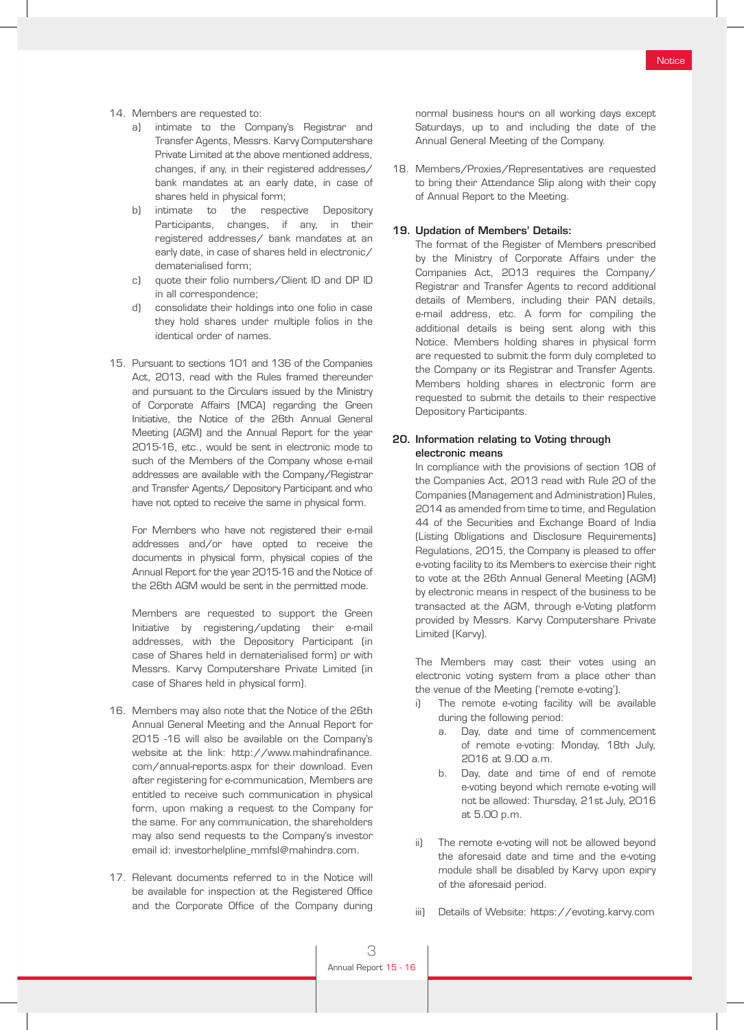- 14. Members are requested to:
	- a) intimate to the Company's Registrar and Transfer Agents, Messrs. Karvy Computershare Private Limited at the above mentioned address, changes, if any, in their registered addresses/ bank mandates at an early date, in case of shares held in physical form;
	- b) intimate to the respective Depository Participants, changes, if any, in their registered addresses/ bank mandates at an early date, in case of shares held in electronic/ dematerialised form;
	- c) quote their folio numbers/Client ID and DP ID in all correspondence;
	- d) consolidate their holdings into one folio in case they hold shares under multiple folios in the identical order of names.
- 15. Pursuant to sections 101 and 136 of the Companies Act, 2013, read with the Rules framed thereunder and pursuant to the Circulars issued by the Ministry of Corporate Affairs (MCA) regarding the Green Initiative, the Notice of the 26th Annual General Meeting (AGM) and the Annual Report for the year 2015-16, etc., would be sent in electronic mode to such of the Members of the Company whose e-mail addresses are available with the Company/Registrar and Transfer Agents/ Depository Participant and who have not opted to receive the same in physical form.

 For Members who have not registered their e-mail addresses and/or have opted to receive the documents in physical form, physical copies of the Annual Report for the year 2015-16 and the Notice of the 26th AGM would be sent in the permitted mode.

 Members are requested to support the Green Initiative by registering/updating their e-mail addresses, with the Depository Participant (in case of Shares held in dematerialised form) or with Messrs. Karvy Computershare Private Limited (in case of Shares held in physical form).

- 16. Members may also note that the Notice of the 26th Annual General Meeting and the Annual Report for 2015 -16 will also be available on the Company's website at the link: http://www.mahindrafinance. com/annual-reports.aspx for their download. Even after registering for e-communication, Members are entitled to receive such communication in physical form, upon making a request to the Company for the same. For any communication, the shareholders may also send requests to the Company's investor email id: investorhelpline\_mmfsl@mahindra.com.
- 17. Relevant documents referred to in the Notice will be available for inspection at the Registered Office and the Corporate Office of the Company during

normal business hours on all working days except Saturdays, up to and including the date of the Annual General Meeting of the Company.

18. Members/Proxies/Representatives are requested to bring their Attendance Slip along with their copy of Annual Report to the Meeting.

#### 19. Updation of Members' Details:

 The format of the Register of Members prescribed by the Ministry of Corporate Affairs under the Companies Act, 2013 requires the Company/ Registrar and Transfer Agents to record additional details of Members, including their PAN details, e-mail address, etc. A form for compiling the additional details is being sent along with this Notice. Members holding shares in physical form are requested to submit the form duly completed to the Company or its Registrar and Transfer Agents. Members holding shares in electronic form are requested to submit the details to their respective Depository Participants.

#### 20. Information relating to Voting through electronic means

 In compliance with the provisions of section 108 of the Companies Act, 2013 read with Rule 20 of the Companies (Management and Administration) Rules, 2014 as amended from time to time, and Regulation 44 of the Securities and Exchange Board of India (Listing Obligations and Disclosure Requirements) Regulations, 2015, the Company is pleased to offer e-voting facility to its Members to exercise their right to vote at the 26th Annual General Meeting (AGM) by electronic means in respect of the business to be transacted at the AGM, through e-Voting platform provided by Messrs. Karvy Computershare Private Limited (Karvy).

 The Members may cast their votes using an electronic voting system from a place other than the venue of the Meeting ('remote e-voting').

- i) The remote e-voting facility will be available during the following period:
	- a. Day, date and time of commencement of remote e-voting: Monday, 18th July, 2016 at 9.00 a.m.
	- b. Day, date and time of end of remote e-voting beyond which remote e-voting will not be allowed: Thursday, 21st July, 2016 at 5.00 p.m.
- ii) The remote e-voting will not be allowed beyond the aforesaid date and time and the e-voting module shall be disabled by Karvy upon expiry of the aforesaid period.
- iii) Details of Website: https://evoting.karvy.com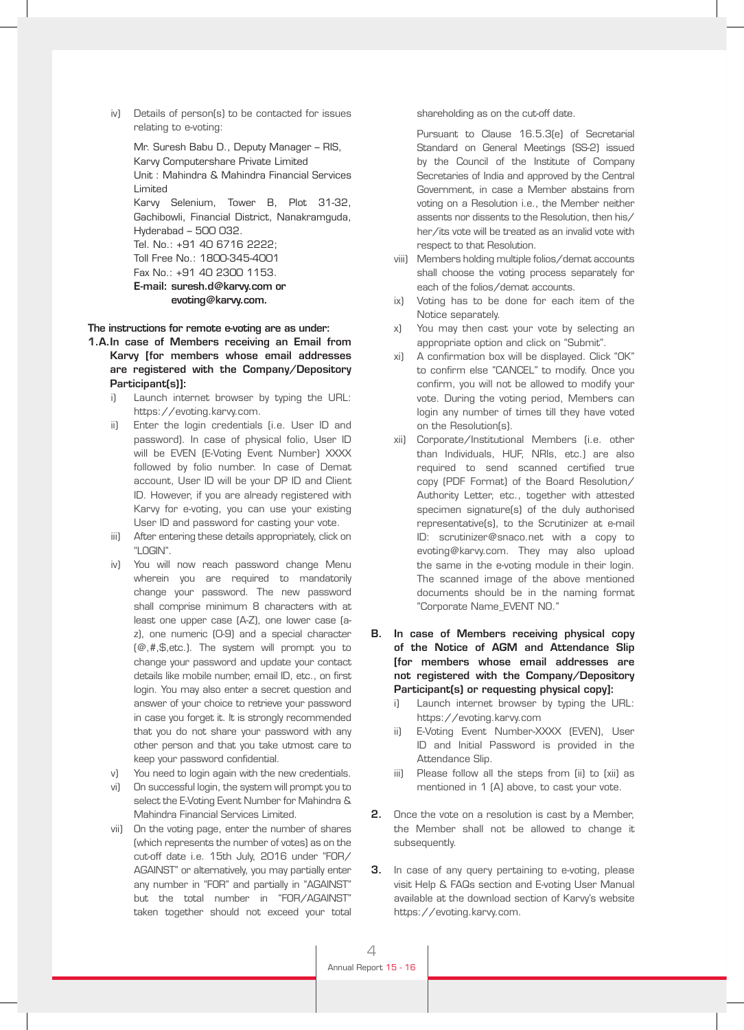iv) Details of person(s) to be contacted for issues relating to e-voting:

 Mr. Suresh Babu D., Deputy Manager – RIS, Karvy Computershare Private Limited Unit : Mahindra & Mahindra Financial Services Limited Karvy Selenium, Tower B, Plot 31-32,

Gachibowli, Financial District, Nanakramguda, Hyderabad – 500 032. Tel. No.: +91 40 6716 2222;

Toll Free No.: 1800-345-4001 Fax No.: +91 40 2300 1153.

# E-mail: suresh.d@karvy.com or evoting@karvy.com.

The instructions for remote e-voting are as under:

- 1.A.In case of Members receiving an Email from Karvy [for members whose email addresses are registered with the Company/Depository Participant(s)]:
	- Launch internet browser by typing the URL: https://evoting.karvy.com.
	- ii) Enter the login credentials (i.e. User ID and password). In case of physical folio, User ID will be EVEN (E-Voting Event Number) XXXX followed by folio number. In case of Demat account, User ID will be your DP ID and Client ID. However, if you are already registered with Karvy for e-voting, you can use your existing User ID and password for casting your vote.
	- iii) After entering these details appropriately, click on "LOGIN".
	- iv) You will now reach password change Menu wherein you are required to mandatorily change your password. The new password shall comprise minimum 8 characters with at least one upper case (A-Z), one lower case (az), one numeric (0-9) and a special character  $[@, #, $, etc.]$ . The system will prompt you to change your password and update your contact details like mobile number, email ID, etc., on first login. You may also enter a secret question and answer of your choice to retrieve your password in case you forget it. It is strongly recommended that you do not share your password with any other person and that you take utmost care to keep your password confidential.
	- v) You need to login again with the new credentials.
	- vi) On successful login, the system will prompt you to select the E-Voting Event Number for Mahindra & Mahindra Financial Services Limited.
	- vii) On the voting page, enter the number of shares (which represents the number of votes) as on the cut-off date i.e. 15th July, 2016 under "FOR/ AGAINST" or alternatively, you may partially enter any number in "FOR" and partially in "AGAINST" but the total number in "FOR/AGAINST" taken together should not exceed your total

shareholding as on the cut-off date.

 Pursuant to Clause 16.5.3(e) of Secretarial Standard on General Meetings (SS-2) issued by the Council of the Institute of Company Secretaries of India and approved by the Central Government, in case a Member abstains from voting on a Resolution i.e., the Member neither assents nor dissents to the Resolution, then his/ her/its vote will be treated as an invalid vote with respect to that Resolution.

- viii) Members holding multiple folios/demat accounts shall choose the voting process separately for each of the folios/demat accounts.
- ix) Voting has to be done for each item of the Notice separately.
- x) You may then cast your vote by selecting an appropriate option and click on "Submit".
- xi) A confirmation box will be displayed. Click "OK" to confirm else "CANCEL" to modify. Once you confirm, you will not be allowed to modify your vote. During the voting period, Members can login any number of times till they have voted on the Resolution(s).
- xii) Corporate/Institutional Members (i.e. other than Individuals, HUF, NRIs, etc.) are also required to send scanned certified true copy (PDF Format) of the Board Resolution/ Authority Letter, etc., together with attested specimen signature(s) of the duly authorised representative(s), to the Scrutinizer at e-mail ID: scrutinizer@snaco.net with a copy to evoting@karvy.com. They may also upload the same in the e-voting module in their login. The scanned image of the above mentioned documents should be in the naming format "Corporate Name\_EVENT NO."
- B. In case of Members receiving physical copy of the Notice of AGM and Attendance Slip [for members whose email addresses are not registered with the Company/Depository Participant(s) or requesting physical copy]:
	- Launch internet browser by typing the URL: https://evoting.karvy.com
	- ii) E-Voting Event Number-XXXX (EVEN), User ID and Initial Password is provided in the Attendance Slip.
	- iii) Please follow all the steps from (ii) to (xii) as mentioned in 1 (A) above, to cast your vote.
- **2.** Once the vote on a resolution is cast by a Member, the Member shall not be allowed to change it subsequently.
- **3.** In case of any query pertaining to e-voting, please visit Help & FAQs section and E-voting User Manual available at the download section of Karvy's website https://evoting.karvy.com.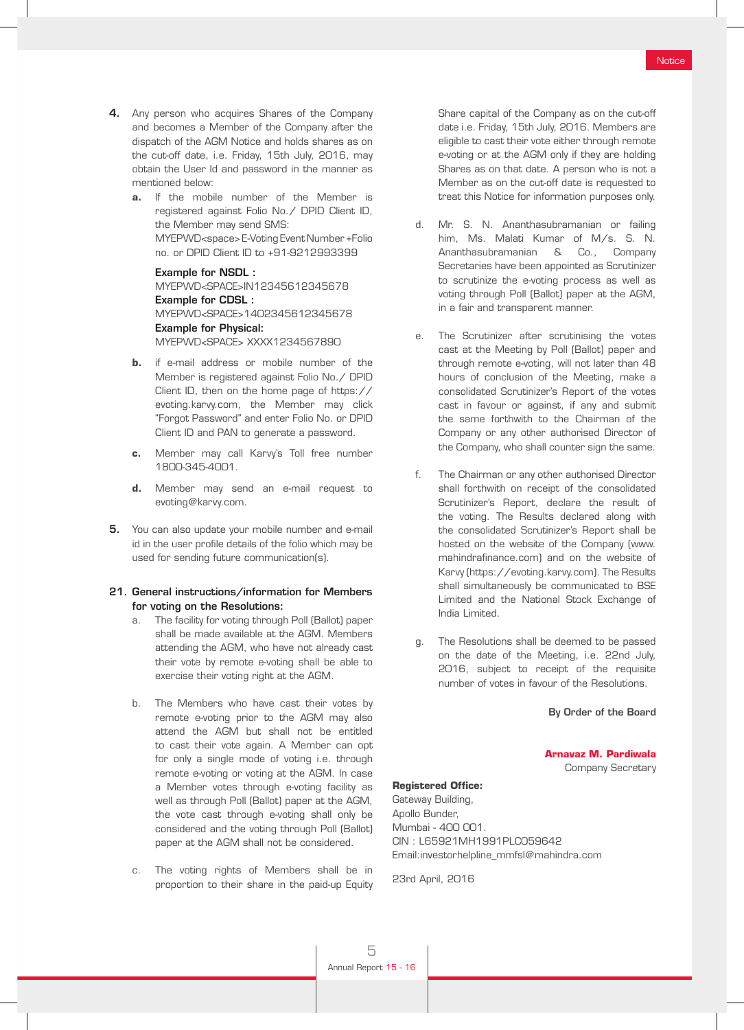- 4. Any person who acquires Shares of the Company and becomes a Member of the Company after the dispatch of the AGM Notice and holds shares as on the cut-off date, i.e. Friday, 15th July, 2016, may obtain the User Id and password in the manner as mentioned below:
	- **a.** If the mobile number of the Member is registered against Folio No./ DPID Client ID, the Member may send SMS: MYEPWD<space> E-Voting Event Number +Folio no. or DPID Client ID to +91-9212993399

 Example for NSDL : MYEPWD<SPACE>IN12345612345678 Example for CDSL : MYEPWD<SPACE>1402345612345678 Example for Physical: MYEPWD<SPACE> XXXX1234567890

- **b.** if e-mail address or mobile number of the Member is registered against Folio No./ DPID Client ID, then on the home page of https:// evoting.karvy.com, the Member may click "Forgot Password" and enter Folio No. or DPID Client ID and PAN to generate a password.
- **c.** Member may call Karvy's Toll free number 1800-345-4001.
- **d.** Member may send an e-mail request to evoting@karvy.com.
- **5.** You can also update your mobile number and e-mail id in the user profile details of the folio which may be used for sending future communication(s).

#### 21. General instructions/information for Members for voting on the Resolutions:

- a. The facility for voting through Poll (Ballot) paper shall be made available at the AGM. Members attending the AGM, who have not already cast their vote by remote e-voting shall be able to exercise their voting right at the AGM.
- b. The Members who have cast their votes by remote e-voting prior to the AGM may also attend the AGM but shall not be entitled to cast their vote again. A Member can opt for only a single mode of voting i.e. through remote e-voting or voting at the AGM. In case a Member votes through e-voting facility as well as through Poll (Ballot) paper at the AGM, the vote cast through e-voting shall only be considered and the voting through Poll (Ballot) paper at the AGM shall not be considered.
- c. The voting rights of Members shall be in proportion to their share in the paid-up Equity

Share capital of the Company as on the cut-off date i.e. Friday, 15th July, 2016. Members are eligible to cast their vote either through remote e-voting or at the AGM only if they are holding Shares as on that date. A person who is not a Member as on the cut-off date is requested to treat this Notice for information purposes only.

- d. Mr. S. N. Ananthasubramanian or failing him, Ms. Malati Kumar of M/s. S. N. Ananthasubramanian & Co., Company Secretaries have been appointed as Scrutinizer to scrutinize the e-voting process as well as voting through Poll (Ballot) paper at the AGM, in a fair and transparent manner.
- e. The Scrutinizer after scrutinising the votes cast at the Meeting by Poll (Ballot) paper and through remote e-voting, will not later than 48 hours of conclusion of the Meeting, make a consolidated Scrutinizer's Report of the votes cast in favour or against, if any and submit the same forthwith to the Chairman of the Company or any other authorised Director of the Company, who shall counter sign the same.
- f. The Chairman or any other authorised Director shall forthwith on receipt of the consolidated Scrutinizer's Report, declare the result of the voting. The Results declared along with the consolidated Scrutinizer's Report shall be hosted on the website of the Company (www. mahindrafinance.com) and on the website of Karvy (https://evoting.karvy.com). The Results shall simultaneously be communicated to BSE Limited and the National Stock Exchange of India Limited.
- g. The Resolutions shall be deemed to be passed on the date of the Meeting, i.e. 22nd July, 2016, subject to receipt of the requisite number of votes in favour of the Resolutions.

#### By Order of the Board

**Arnavaz M. Pardiwala** Company Secretary

#### **Registered Office:**

Gateway Building, Apollo Bunder, Mumbai - 400 001. CIN : L65921MH1991PLC059642 Email:investorhelpline\_mmfsl@mahindra.com

23rd April, 2016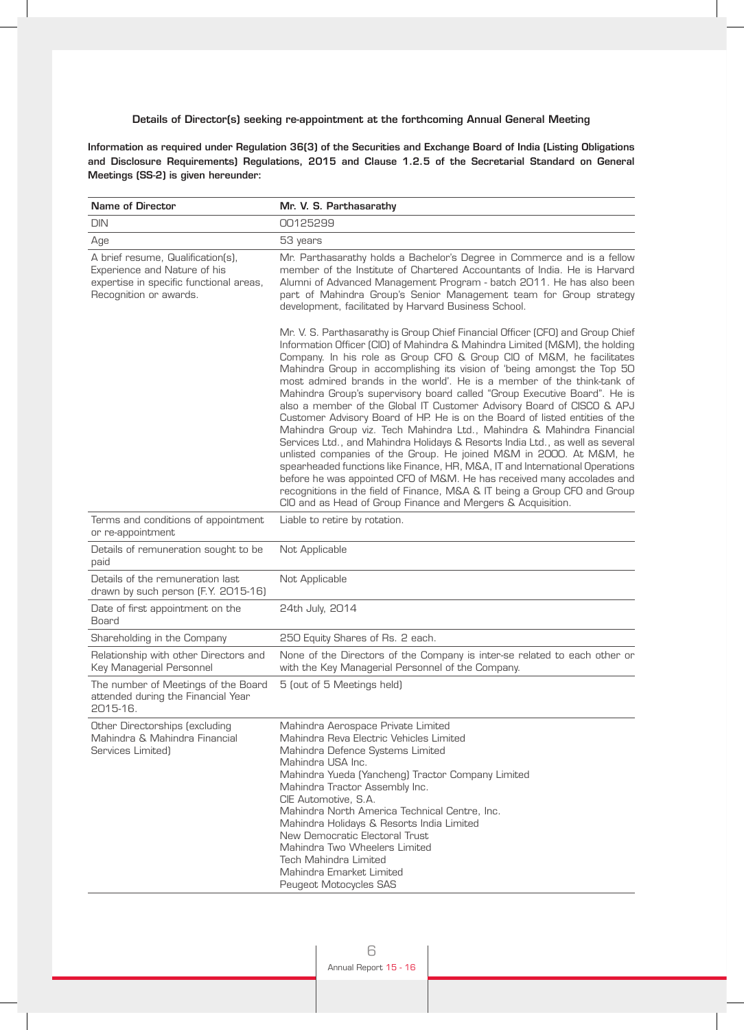#### Details of Director(s) seeking re-appointment at the forthcoming Annual General Meeting

Information as required under Regulation 36(3) of the Securities and Exchange Board of India (Listing Obligations and Disclosure Requirements) Regulations, 2015 and Clause 1.2.5 of the Secretarial Standard on General Meetings (SS-2) is given hereunder:

| <b>Name of Director</b>                                                                                                                | Mr. V. S. Parthasarathy                                                                                                                                                                                                                                                                                                                                                                                                                                                                                                                                                                                                                                                                                                                                                                                                                                                                                                                                                                                                                                                                                                                                               |
|----------------------------------------------------------------------------------------------------------------------------------------|-----------------------------------------------------------------------------------------------------------------------------------------------------------------------------------------------------------------------------------------------------------------------------------------------------------------------------------------------------------------------------------------------------------------------------------------------------------------------------------------------------------------------------------------------------------------------------------------------------------------------------------------------------------------------------------------------------------------------------------------------------------------------------------------------------------------------------------------------------------------------------------------------------------------------------------------------------------------------------------------------------------------------------------------------------------------------------------------------------------------------------------------------------------------------|
| <b>DIN</b>                                                                                                                             | 00125299                                                                                                                                                                                                                                                                                                                                                                                                                                                                                                                                                                                                                                                                                                                                                                                                                                                                                                                                                                                                                                                                                                                                                              |
| Age                                                                                                                                    | 53 years                                                                                                                                                                                                                                                                                                                                                                                                                                                                                                                                                                                                                                                                                                                                                                                                                                                                                                                                                                                                                                                                                                                                                              |
| A brief resume, Qualification(s),<br>Experience and Nature of his<br>expertise in specific functional areas,<br>Recognition or awards. | Mr. Parthasarathy holds a Bachelor's Degree in Commerce and is a fellow<br>member of the Institute of Chartered Accountants of India. He is Harvard<br>Alumni of Advanced Management Program - batch 2011. He has also been<br>part of Mahindra Group's Senior Management team for Group strategy<br>development, facilitated by Harvard Business School.                                                                                                                                                                                                                                                                                                                                                                                                                                                                                                                                                                                                                                                                                                                                                                                                             |
|                                                                                                                                        | Mr. V. S. Parthasarathy is Group Chief Financial Officer (CFO) and Group Chief<br>Information Officer (CIO) of Mahindra & Mahindra Limited (M&M), the holding<br>Company. In his role as Group CFO & Group CIO of M&M, he facilitates<br>Mahindra Group in accomplishing its vision of 'being amongst the Top 50<br>most admired brands in the world'. He is a member of the think-tank of<br>Mahindra Group's supervisory board called "Group Executive Board". He is<br>also a member of the Global IT Customer Advisory Board of CISCO & APJ<br>Customer Advisory Board of HP. He is on the Board of listed entities of the<br>Mahindra Group viz. Tech Mahindra Ltd., Mahindra & Mahindra Financial<br>Services Ltd., and Mahindra Holidays & Resorts India Ltd., as well as several<br>unlisted companies of the Group. He joined M&M in 2000. At M&M, he<br>spearheaded functions like Finance, HR, M&A, IT and International Operations<br>before he was appointed CFO of M&M. He has received many accolades and<br>recognitions in the field of Finance, M&A & IT being a Group CFO and Group<br>CIO and as Head of Group Finance and Mergers & Acquisition. |
| Terms and conditions of appointment<br>or re-appointment                                                                               | Liable to retire by rotation.                                                                                                                                                                                                                                                                                                                                                                                                                                                                                                                                                                                                                                                                                                                                                                                                                                                                                                                                                                                                                                                                                                                                         |
| Details of remuneration sought to be<br>paid                                                                                           | Not Applicable                                                                                                                                                                                                                                                                                                                                                                                                                                                                                                                                                                                                                                                                                                                                                                                                                                                                                                                                                                                                                                                                                                                                                        |
| Details of the remuneration last<br>drawn by such person (F.Y. 2015-16)                                                                | Not Applicable                                                                                                                                                                                                                                                                                                                                                                                                                                                                                                                                                                                                                                                                                                                                                                                                                                                                                                                                                                                                                                                                                                                                                        |
| Date of first appointment on the<br>Board                                                                                              | 24th July, 2014                                                                                                                                                                                                                                                                                                                                                                                                                                                                                                                                                                                                                                                                                                                                                                                                                                                                                                                                                                                                                                                                                                                                                       |
| Shareholding in the Company                                                                                                            | 250 Equity Shares of Rs. 2 each.                                                                                                                                                                                                                                                                                                                                                                                                                                                                                                                                                                                                                                                                                                                                                                                                                                                                                                                                                                                                                                                                                                                                      |
| Relationship with other Directors and<br>Key Managerial Personnel                                                                      | None of the Directors of the Company is inter-se related to each other or<br>with the Key Managerial Personnel of the Company.                                                                                                                                                                                                                                                                                                                                                                                                                                                                                                                                                                                                                                                                                                                                                                                                                                                                                                                                                                                                                                        |
| The number of Meetings of the Board<br>attended during the Financial Year<br>2015-16.                                                  | 5 (out of 5 Meetings held)                                                                                                                                                                                                                                                                                                                                                                                                                                                                                                                                                                                                                                                                                                                                                                                                                                                                                                                                                                                                                                                                                                                                            |
| Other Directorships (excluding<br>Mahindra & Mahindra Financial<br>Services Limited)                                                   | Mahindra Aerospace Private Limited<br>Mahindra Reva Electric Vehicles Limited<br>Mahindra Defence Systems Limited<br>Mahindra USA Inc.<br>Mahindra Yueda (Yancheng) Tractor Company Limited<br>Mahindra Tractor Assembly Inc.<br>CIE Automotive, S.A.<br>Mahindra North America Technical Centre, Inc.<br>Mahindra Holidays & Resorts India Limited<br>New Democratic Electoral Trust<br>Mahindra Two Wheelers Limited<br><b>Tech Mahindra Limited</b><br>Mahindra Emarket Limited<br>Peugeot Motocycles SAS                                                                                                                                                                                                                                                                                                                                                                                                                                                                                                                                                                                                                                                          |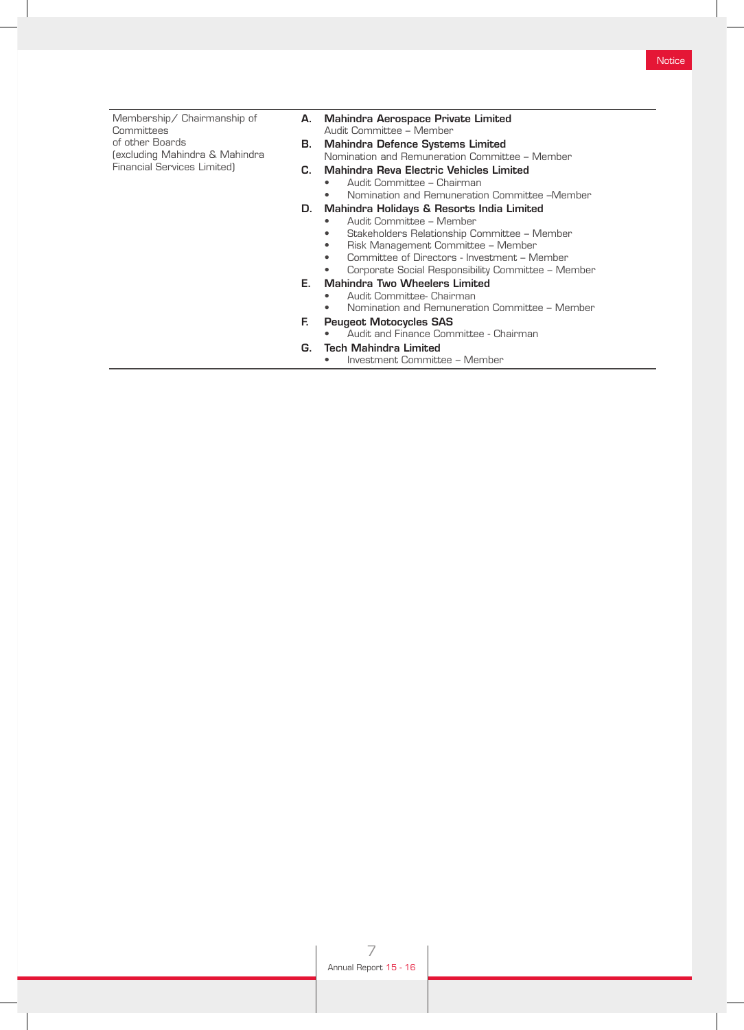| Membership/ Chairmanship of<br>Committees | А. | Mahindra Aerospace Private Limited<br>Audit Committee - Member |
|-------------------------------------------|----|----------------------------------------------------------------|
| of other Boards                           | В. | <b>Mahindra Defence Systems Limited</b>                        |
| (excluding Mahindra & Mahindra            |    | Nomination and Remuneration Committee - Member                 |
| <b>Financial Services Limited)</b>        | C. | Mahindra Reva Electric Vehicles Limited                        |
|                                           |    | Audit Committee - Chairman<br>٠                                |
|                                           |    | Nomination and Remuneration Committee -Member                  |
|                                           | D. | Mahindra Holidays & Resorts India Limited                      |
|                                           |    | Audit Committee - Member<br>٠                                  |
|                                           |    | Stakeholders Relationship Committee - Member                   |
|                                           |    | Risk Management Committee - Member<br>٠                        |
|                                           |    | Committee of Directors - Investment – Member                   |
|                                           |    | Corporate Social Responsibility Committee - Member             |
|                                           | Е. | <b>Mahindra Two Wheelers Limited</b>                           |
|                                           |    | Audit Committee- Chairman                                      |
|                                           |    | Nomination and Remuneration Committee - Member                 |
|                                           | Е. | <b>Peugeot Motocycles SAS</b>                                  |
|                                           |    | Audit and Finance Committee - Chairman                         |
|                                           | G. | Tech Mahindra Limited                                          |
|                                           |    | Investment Committee - Member                                  |
|                                           |    |                                                                |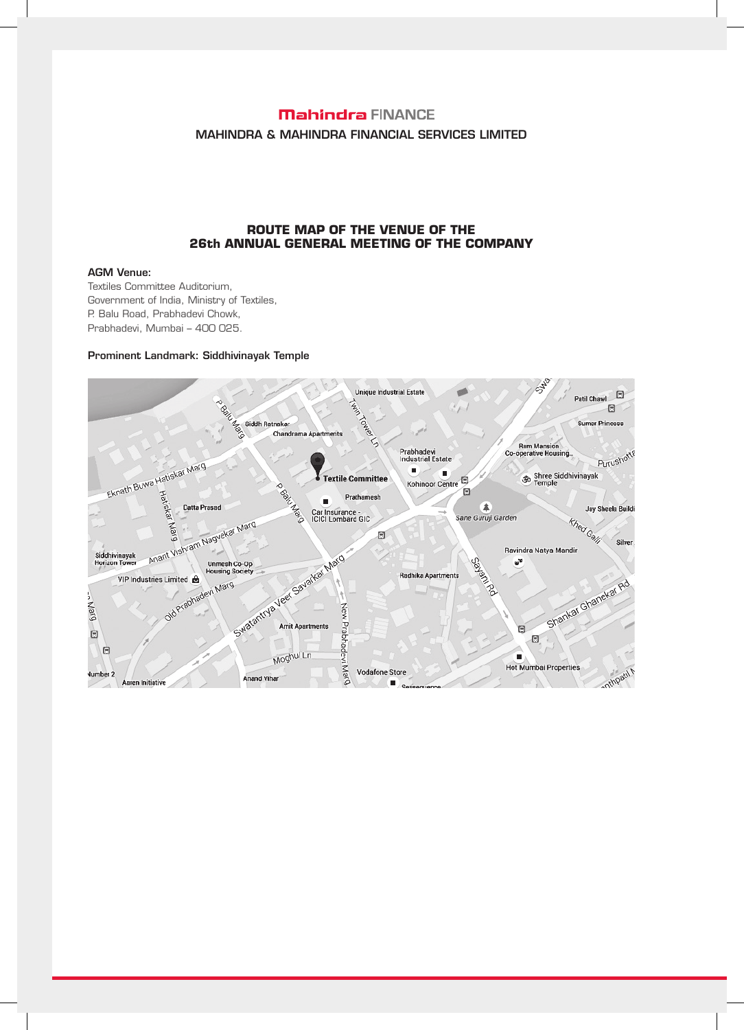# **Mahindra FINANCE** MAHINDRA & MAHINDRA FINANCIAL SERVICES LIMITED

## **ROUTE MAP OF THE VENUE OF THE 26th ANNUAL GENERAL MEETING OF THE COMPANY**

# AGM Venue:

Textiles Committee Auditorium, Government of India, Ministry of Textiles, P. Balu Road, Prabhadevi Chowk, Prabhadevi, Mumbai – 400 025.

#### Prominent Landmark: Siddhivinayak Temple

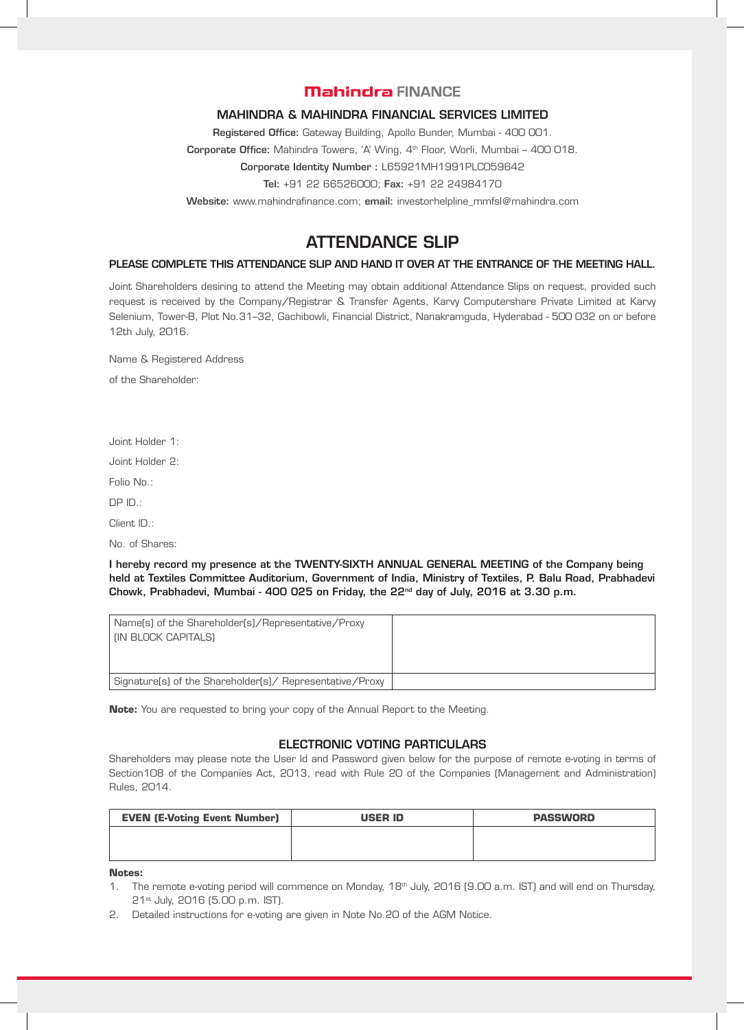# **Mahindra FINANCE**

## MAHINDRA & MAHINDRA FINANCIAL SERVICES LIMITED

Registered Office: Gateway Building, Apollo Bunder, Mumbai - 400 001.

Corporate Office: Mahindra Towers, 'A' Wing, 4<sup>th</sup> Floor, Worli, Mumbai - 400 018.

Corporate Identity Number : L65921MH1991PLC059642

Tel: +91 22 66526000; Fax: +91 22 24984170

Website: www.mahindrafinance.com; email: investorhelpline\_mmfsl@mahindra.com

# ATTENDANCE SLIP

## PLEASE COMPLETE THIS ATTENDANCE SLIP AND HAND IT OVER AT THE ENTRANCE OF THE MEETING HALL.

Joint Shareholders desiring to attend the Meeting may obtain additional Attendance Slips on request, provided such request is received by the Company/Registrar & Transfer Agents, Karvy Computershare Private Limited at Karvy Selenium, Tower-B, Plot No.31–32, Gachibowli, Financial District, Nanakramguda, Hyderabad - 500 032 on or before 12th July, 2016.

Name & Registered Address

of the Shareholder:

Joint Holder 1:

Joint Holder 2:

Folio No.:

DP ID.:

Client ID.:

No. of Shares:

I hereby record my presence at the TWENTY-SIXTH ANNUAL GENERAL MEETING of the Company being held at Textiles Committee Auditorium, Government of India, Ministry of Textiles, P. Balu Road, Prabhadevi Chowk, Prabhadevi, Mumbai - 400 025 on Friday, the  $22<sup>nd</sup>$  day of July, 2016 at 3.30 p.m.

| Name(s) of the Shareholder(s)/Representative/Proxy<br>I (IN BLOCK CAPITALS) |  |
|-----------------------------------------------------------------------------|--|
| Signature(s) of the Shareholder(s)/ Representative/Proxy                    |  |

**Note:** You are requested to bring your copy of the Annual Report to the Meeting.

# ELECTRONIC VOTING PARTICULARS

Shareholders may please note the User Id and Password given below for the purpose of remote e-voting in terms of Section108 of the Companies Act, 2013, read with Rule 20 of the Companies (Management and Administration) Rules, 2014.

| <b>EVEN (E-Voting Event Number)</b> | <b>USER ID</b> | <b>PASSWORD</b> |
|-------------------------------------|----------------|-----------------|
|                                     |                |                 |
|                                     |                |                 |

#### **Notes:**

- 1. The remote e-voting period will commence on Monday, 18<sup>th</sup> July, 2016 (9.00 a.m. IST) and will end on Thursday, 21st July, 2016 (5.00 p.m. IST).
- 2. Detailed instructions for e-voting are given in Note No.20 of the AGM Notice.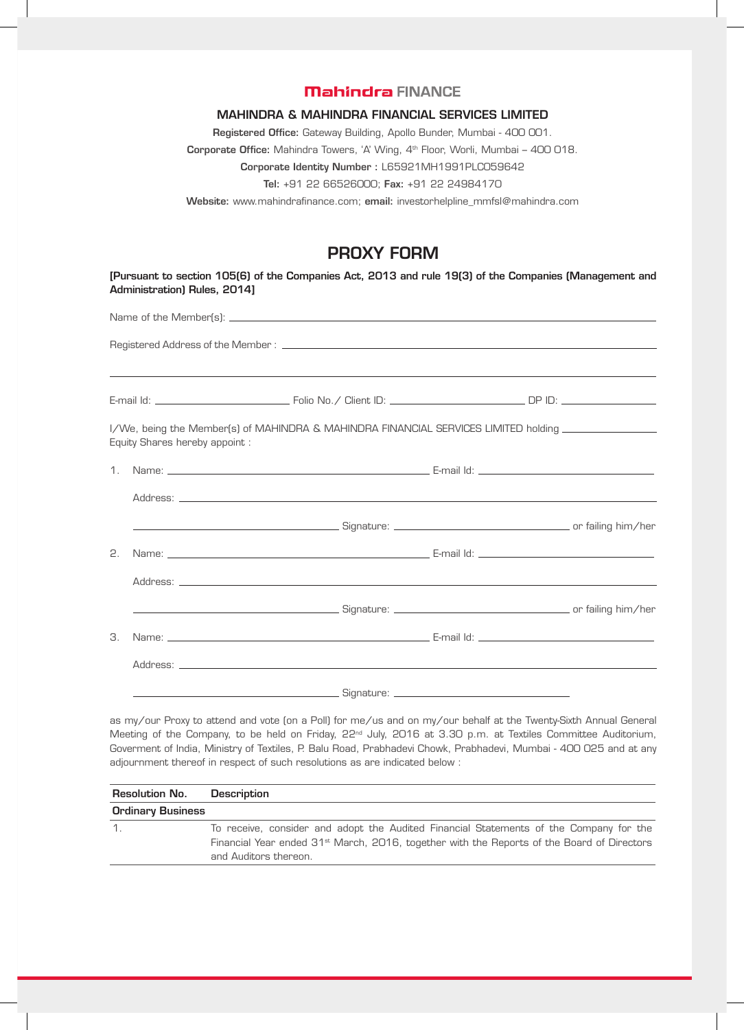# **Mahindra FINANCE**

#### MAHINDRA & MAHINDRA FINANCIAL SERVICES LIMITED

Registered Office: Gateway Building, Apollo Bunder, Mumbai - 400 001.

Corporate Office: Mahindra Towers, 'A' Wing, 4th Floor, Worli, Mumbai – 400 018.

Corporate Identity Number : L65921MH1991PLC059642

Tel: +91 22 66526000; Fax: +91 22 24984170

Website: www.mahindrafinance.com; email: investorhelpline\_mmfsl@mahindra.com

# PROXY FORM

[Pursuant to section 105(6) of the Companies Act, 2013 and rule 19(3) of the Companies (Management and Administration) Rules, 2014]

Name of the Member(s):

Registered Address of the Member :

E-mail Id: Folio No./ Client ID: DP ID:

I/We, being the Member(s) of MAHINDRA & MAHINDRA FINANCIAL SERVICES LIMITED holding Equity Shares hereby appoint :

| 2. |  |  |
|----|--|--|
|    |  |  |
|    |  |  |
| З. |  |  |
|    |  |  |
|    |  |  |

as my/our Proxy to attend and vote (on a Poll) for me/us and on my/our behalf at the Twenty-Sixth Annual General Meeting of the Company, to be held on Friday, 22<sup>nd</sup> July, 2016 at 3.30 p.m. at Textiles Committee Auditorium, Goverment of India, Ministry of Textiles, P. Balu Road, Prabhadevi Chowk, Prabhadevi, Mumbai - 400 025 and at any adjournment thereof in respect of such resolutions as are indicated below :

| <b>Resolution No.</b>    | <b>Description</b>                                                                                                                                                                                                        |  |  |
|--------------------------|---------------------------------------------------------------------------------------------------------------------------------------------------------------------------------------------------------------------------|--|--|
| <b>Ordinary Business</b> |                                                                                                                                                                                                                           |  |  |
| $\mathcal{L}$            | To receive, consider and adopt the Audited Financial Statements of the Company for the<br>Financial Year ended 31 <sup>st</sup> March, 2016, together with the Reports of the Board of Directors<br>and Auditors thereon. |  |  |